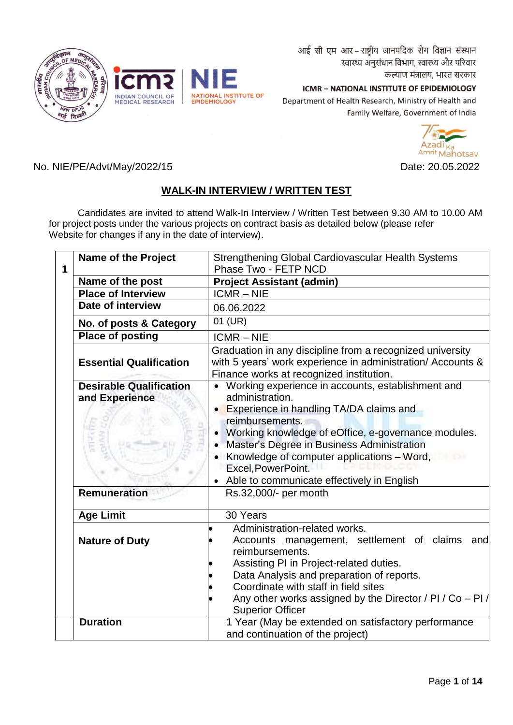आई सी एम आर - राष्ट्रीय जानपदिक रोग विज्ञान संस्थान स्वास्थ्य अनुसंधान विभाग, स्वास्थ्य और परिवार कल्याण मंत्रालय, भारत सरकार

NATIONAL INSTITUTE OF<br>EPIDEMIOLOGY INDIAN COUNCIL OF<br>MEDICAL RESEARCH

ICMR - NATIONAL INSTITUTE OF EPIDEMIOLOGY Department of Health Research, Ministry of Health and Family Welfare, Government of India



No. NIE/PE/Advt/May/2022/15 Date: 20.05.2022

# **WALK-IN INTERVIEW / WRITTEN TEST**

 Candidates are invited to attend Walk-In Interview / Written Test between 9.30 AM to 10.00 AM for project posts under the various projects on contract basis as detailed below (please refer Website for changes if any in the date of interview).

| 1 | <b>Name of the Project</b>                       | Strengthening Global Cardiovascular Health Systems<br>Phase Two - FETP NCD                                                                                                                                                                                                                                                                                  |
|---|--------------------------------------------------|-------------------------------------------------------------------------------------------------------------------------------------------------------------------------------------------------------------------------------------------------------------------------------------------------------------------------------------------------------------|
|   | Name of the post                                 | <b>Project Assistant (admin)</b>                                                                                                                                                                                                                                                                                                                            |
|   | <b>Place of Interview</b>                        | $ICMR - NIE$                                                                                                                                                                                                                                                                                                                                                |
|   | Date of interview                                | 06.06.2022                                                                                                                                                                                                                                                                                                                                                  |
|   | No. of posts & Category                          | 01 (UR)                                                                                                                                                                                                                                                                                                                                                     |
|   | <b>Place of posting</b>                          | <b>ICMR-NIE</b>                                                                                                                                                                                                                                                                                                                                             |
|   | <b>Essential Qualification</b>                   | Graduation in any discipline from a recognized university<br>with 5 years' work experience in administration/ Accounts &<br>Finance works at recognized institution.                                                                                                                                                                                        |
|   | <b>Desirable Qualification</b><br>and Experience | • Working experience in accounts, establishment and<br>administration.<br>Experience in handling TA/DA claims and<br>reimbursements.<br>Working knowledge of eOffice, e-governance modules.<br>Master's Degree in Business Administration<br>Knowledge of computer applications - Word,<br>Excel, PowerPoint.<br>Able to communicate effectively in English |
|   | <b>Remuneration</b>                              | Rs.32,000/- per month                                                                                                                                                                                                                                                                                                                                       |
|   | <b>Age Limit</b>                                 | 30 Years                                                                                                                                                                                                                                                                                                                                                    |
|   | <b>Nature of Duty</b>                            | Administration-related works.<br>Accounts management, settlement of claims<br>and<br>reimbursements.<br>Assisting PI in Project-related duties.<br>Data Analysis and preparation of reports.<br>Coordinate with staff in field sites<br>Any other works assigned by the Director / PI / Co - PI $/$                                                         |
|   | <b>Duration</b>                                  | <b>Superior Officer</b><br>1 Year (May be extended on satisfactory performance<br>and continuation of the project)                                                                                                                                                                                                                                          |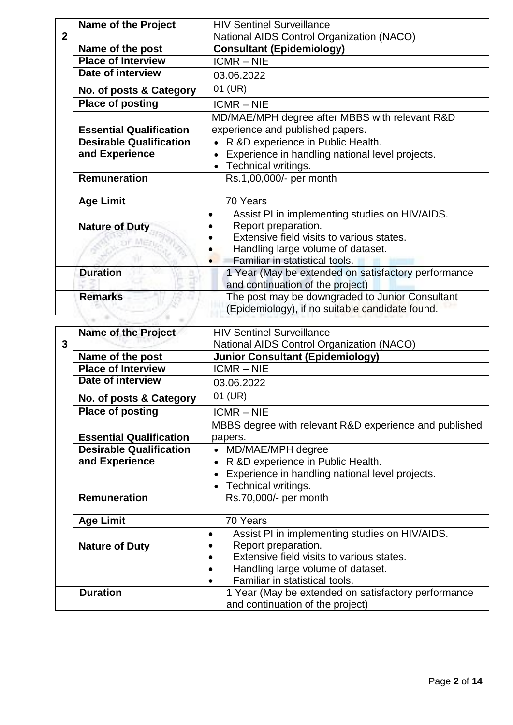| <b>Name of the Project</b>     | <b>HIV Sentinel Surveillance</b>                                                                                   |
|--------------------------------|--------------------------------------------------------------------------------------------------------------------|
|                                | National AIDS Control Organization (NACO)                                                                          |
| Name of the post               | <b>Consultant (Epidemiology)</b>                                                                                   |
| <b>Place of Interview</b>      | $ICMR - NIE$                                                                                                       |
| Date of interview              | 03.06.2022                                                                                                         |
| No. of posts & Category        | 01 (UR)                                                                                                            |
| <b>Place of posting</b>        | <b>ICMR-NIE</b>                                                                                                    |
|                                | MD/MAE/MPH degree after MBBS with relevant R&D                                                                     |
| <b>Essential Qualification</b> | experience and published papers.                                                                                   |
| <b>Desirable Qualification</b> | R &D experience in Public Health.                                                                                  |
| and Experience                 | Experience in handling national level projects.                                                                    |
|                                | Technical writings.                                                                                                |
| <b>Remuneration</b>            | Rs.1,00,000/- per month                                                                                            |
| <b>Age Limit</b>               | 70 Years                                                                                                           |
| <b>Nature of Duty</b>          | Assist PI in implementing studies on HIV/AIDS.<br>Report preparation.<br>Extensive field visits to various states. |
|                                | Handling large volume of dataset.<br>Familiar in statistical tools.                                                |
| <b>Duration</b>                | 1 Year (May be extended on satisfactory performance<br>and continuation of the project)                            |
| <b>Remarks</b>                 | The post may be downgraded to Junior Consultant<br>(Epidemiology), if no suitable candidate found.                 |

|   | <b>Name of the Project</b>     | <b>HIV Sentinel Surveillance</b>                       |  |
|---|--------------------------------|--------------------------------------------------------|--|
| 3 |                                | <b>National AIDS Control Organization (NACO)</b>       |  |
|   | Name of the post               | <b>Junior Consultant (Epidemiology)</b>                |  |
|   | <b>Place of Interview</b>      | $ICMR - NIE$                                           |  |
|   | Date of interview              | 03.06.2022                                             |  |
|   | No. of posts & Category        | 01 (UR)                                                |  |
|   | <b>Place of posting</b>        | $ICMR - NIE$                                           |  |
|   |                                | MBBS degree with relevant R&D experience and published |  |
|   | <b>Essential Qualification</b> | papers.                                                |  |
|   | <b>Desirable Qualification</b> | MD/MAE/MPH degree                                      |  |
|   | and Experience                 | R &D experience in Public Health.                      |  |
|   |                                | Experience in handling national level projects.        |  |
|   |                                | Technical writings.                                    |  |
|   | <b>Remuneration</b>            | Rs.70,000/- per month                                  |  |
|   |                                |                                                        |  |
|   | <b>Age Limit</b>               | 70 Years                                               |  |
|   |                                | Assist PI in implementing studies on HIV/AIDS.         |  |
|   | <b>Nature of Duty</b>          | Report preparation.                                    |  |
|   |                                | Extensive field visits to various states.              |  |
|   |                                | Handling large volume of dataset.                      |  |
|   |                                | Familiar in statistical tools.                         |  |
|   | <b>Duration</b>                | 1 Year (May be extended on satisfactory performance    |  |
|   |                                | and continuation of the project)                       |  |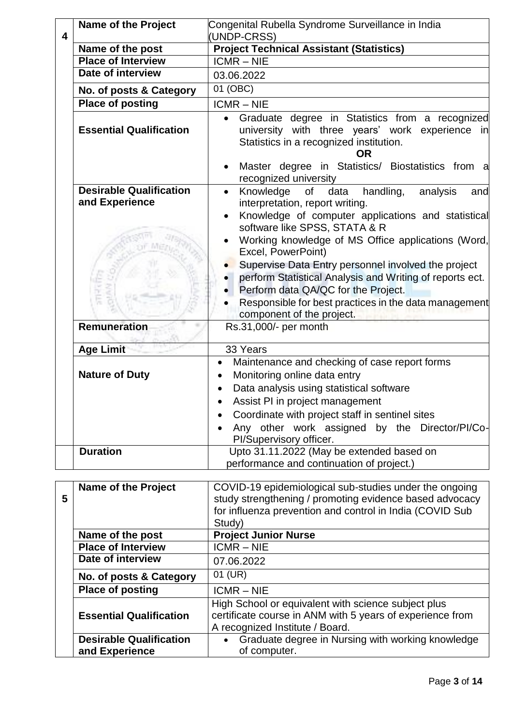|   | <b>Name of the Project</b>                       | Congenital Rubella Syndrome Surveillance in India                                                                                                                                                                                            |
|---|--------------------------------------------------|----------------------------------------------------------------------------------------------------------------------------------------------------------------------------------------------------------------------------------------------|
| 4 |                                                  | (UNDP-CRSS)                                                                                                                                                                                                                                  |
|   | Name of the post                                 | <b>Project Technical Assistant (Statistics)</b>                                                                                                                                                                                              |
|   | <b>Place of Interview</b>                        | $ICMR - NIE$                                                                                                                                                                                                                                 |
|   | Date of interview                                | 03.06.2022                                                                                                                                                                                                                                   |
|   | No. of posts & Category                          | 01 (OBC)                                                                                                                                                                                                                                     |
|   | <b>Place of posting</b>                          | <b>ICMR-NIE</b>                                                                                                                                                                                                                              |
|   | <b>Essential Qualification</b>                   | • Graduate degree in Statistics from a recognized<br>university with three years' work experience in<br>Statistics in a recognized institution.<br><b>OR</b>                                                                                 |
|   |                                                  | Master degree in Statistics/ Biostatistics from a<br>recognized university                                                                                                                                                                   |
|   | <b>Desirable Qualification</b><br>and Experience | Knowledge of<br>handling,<br>data<br>analysis<br>$\bullet$<br>and<br>interpretation, report writing.<br>Knowledge of computer applications and statistical<br>$\bullet$                                                                      |
|   |                                                  | software like SPSS, STATA & R<br>Working knowledge of MS Office applications (Word,<br>Excel, PowerPoint)                                                                                                                                    |
|   |                                                  | Supervise Data Entry personnel involved the project<br>perform Statistical Analysis and Writing of reports ect.<br>Perform data QA/QC for the Project.<br>Responsible for best practices in the data management<br>component of the project. |
|   | <b>Remuneration</b>                              | Rs.31,000/- per month                                                                                                                                                                                                                        |
|   | <b>Age Limit</b>                                 | 33 Years                                                                                                                                                                                                                                     |
|   | <b>Nature of Duty</b>                            | Maintenance and checking of case report forms<br>$\bullet$<br>Monitoring online data entry<br>$\bullet$<br>Data analysis using statistical software                                                                                          |
|   |                                                  | Assist PI in project management<br>Coordinate with project staff in sentinel sites<br>Any other work assigned by the Director/PI/Co-<br>PI/Supervisory officer.                                                                              |
|   | <b>Duration</b>                                  | Upto 31.11.2022 (May be extended based on<br>performance and continuation of project.)                                                                                                                                                       |

| 5 | <b>Name of the Project</b>                       | COVID-19 epidemiological sub-studies under the ongoing<br>study strengthening / promoting evidence based advocacy<br>for influenza prevention and control in India (COVID Sub<br>Study) |
|---|--------------------------------------------------|-----------------------------------------------------------------------------------------------------------------------------------------------------------------------------------------|
|   | Name of the post                                 | <b>Project Junior Nurse</b>                                                                                                                                                             |
|   | <b>Place of Interview</b>                        | $ICMR - NIE$                                                                                                                                                                            |
|   | Date of interview                                | 07.06.2022                                                                                                                                                                              |
|   | No. of posts & Category                          | 01 (UR)                                                                                                                                                                                 |
|   | <b>Place of posting</b>                          | $ICMR - NIE$                                                                                                                                                                            |
|   | <b>Essential Qualification</b>                   | High School or equivalent with science subject plus<br>certificate course in ANM with 5 years of experience from<br>A recognized Institute / Board.                                     |
|   | <b>Desirable Qualification</b><br>and Experience | Graduate degree in Nursing with working knowledge<br>$\bullet$<br>of computer.                                                                                                          |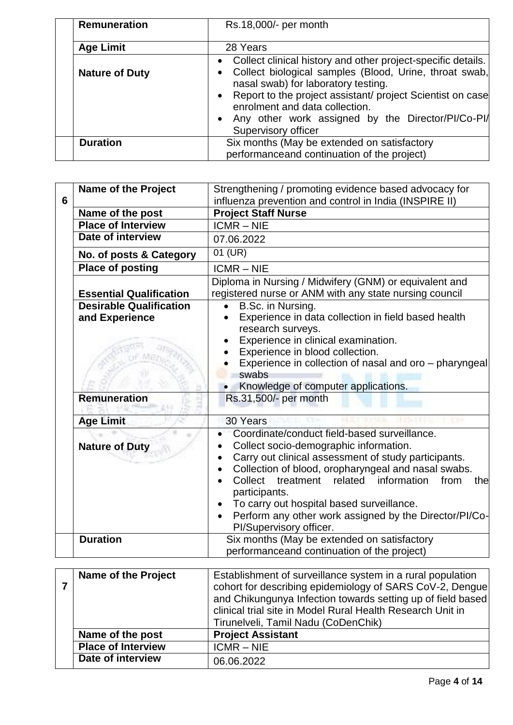| <b>Remuneration</b>   | Rs.18,000/- per month                                                                                                                                                                                                                                                                                                                                                                         |
|-----------------------|-----------------------------------------------------------------------------------------------------------------------------------------------------------------------------------------------------------------------------------------------------------------------------------------------------------------------------------------------------------------------------------------------|
| <b>Age Limit</b>      | 28 Years                                                                                                                                                                                                                                                                                                                                                                                      |
| <b>Nature of Duty</b> | Collect clinical history and other project-specific details.<br>$\bullet$<br>Collect biological samples (Blood, Urine, throat swab,<br>$\bullet$<br>nasal swab) for laboratory testing.<br>Report to the project assistant/ project Scientist on case<br>$\bullet$<br>enrolment and data collection.<br>Any other work assigned by the Director/PI/Co-PI/<br>$\bullet$<br>Supervisory officer |
| <b>Duration</b>       | Six months (May be extended on satisfactory<br>performanceand continuation of the project)                                                                                                                                                                                                                                                                                                    |

| 6 | <b>Name of the Project</b>                       | Strengthening / promoting evidence based advocacy for<br>influenza prevention and control in India (INSPIRE II)                                                                                                                                                                                                                                                                                                     |
|---|--------------------------------------------------|---------------------------------------------------------------------------------------------------------------------------------------------------------------------------------------------------------------------------------------------------------------------------------------------------------------------------------------------------------------------------------------------------------------------|
|   | Name of the post                                 | <b>Project Staff Nurse</b>                                                                                                                                                                                                                                                                                                                                                                                          |
|   | <b>Place of Interview</b>                        | $ICMR - NIE$                                                                                                                                                                                                                                                                                                                                                                                                        |
|   | Date of interview                                | 07.06.2022                                                                                                                                                                                                                                                                                                                                                                                                          |
|   | No. of posts & Category                          | 01 (UR)                                                                                                                                                                                                                                                                                                                                                                                                             |
|   | <b>Place of posting</b>                          | $ICMR - NIE$                                                                                                                                                                                                                                                                                                                                                                                                        |
|   | <b>Essential Qualification</b>                   | Diploma in Nursing / Midwifery (GNM) or equivalent and<br>registered nurse or ANM with any state nursing council                                                                                                                                                                                                                                                                                                    |
|   | <b>Desirable Qualification</b><br>and Experience | B.Sc. in Nursing.<br>Experience in data collection in field based health<br>$\bullet$<br>research surveys.<br>Experience in clinical examination.<br>Experience in blood collection.<br>Experience in collection of nasal and oro - pharyngeal<br>swabs<br>Knowledge of computer applications.                                                                                                                      |
|   | <b>Remuneration</b>                              | Rs.31,500/- per month                                                                                                                                                                                                                                                                                                                                                                                               |
|   | <b>Age Limit</b>                                 | 30 Years                                                                                                                                                                                                                                                                                                                                                                                                            |
|   | <b>Nature of Duty</b>                            | Coordinate/conduct field-based surveillance.<br>Collect socio-demographic information.<br>Carry out clinical assessment of study participants.<br>Collection of blood, oropharyngeal and nasal swabs.<br>Collect treatment related<br>information<br>from<br>the<br>participants.<br>To carry out hospital based surveillance.<br>Perform any other work assigned by the Director/PI/Co-<br>PI/Supervisory officer. |
|   | <b>Duration</b>                                  | Six months (May be extended on satisfactory<br>performanceand continuation of the project)                                                                                                                                                                                                                                                                                                                          |

| <b>Name of the Project</b> | Establishment of surveillance system in a rural population<br>cohort for describing epidemiology of SARS CoV-2, Dengue<br>and Chikungunya Infection towards setting up of field based<br>clinical trial site in Model Rural Health Research Unit in<br>Tirunelveli, Tamil Nadu (CoDenChik) |
|----------------------------|--------------------------------------------------------------------------------------------------------------------------------------------------------------------------------------------------------------------------------------------------------------------------------------------|
| Name of the post           | <b>Project Assistant</b>                                                                                                                                                                                                                                                                   |
| <b>Place of Interview</b>  | $ICMR - NIE$                                                                                                                                                                                                                                                                               |
| Date of interview          | 06.06.2022                                                                                                                                                                                                                                                                                 |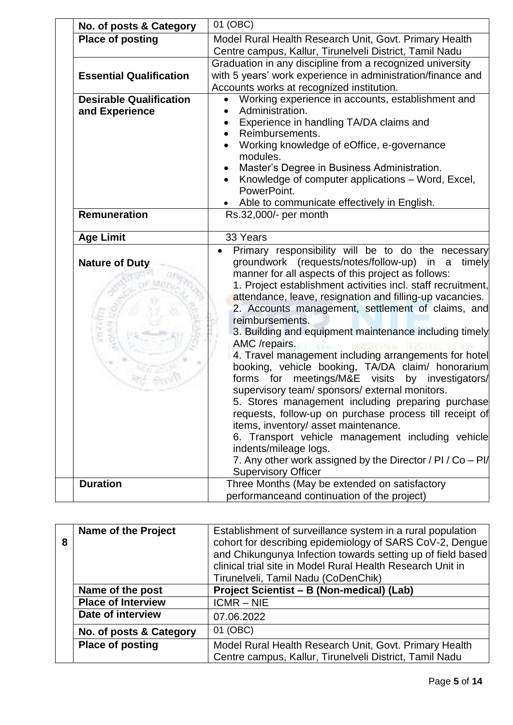| No. of posts & Category                          | 01 (OBC)                                                                                                                                                                                                                                                                                                                                                                                                                                                                                                                                                                                                                                                                                                                                                                                                                                                                                                                                                                                             |
|--------------------------------------------------|------------------------------------------------------------------------------------------------------------------------------------------------------------------------------------------------------------------------------------------------------------------------------------------------------------------------------------------------------------------------------------------------------------------------------------------------------------------------------------------------------------------------------------------------------------------------------------------------------------------------------------------------------------------------------------------------------------------------------------------------------------------------------------------------------------------------------------------------------------------------------------------------------------------------------------------------------------------------------------------------------|
| <b>Place of posting</b>                          | Model Rural Health Research Unit, Govt. Primary Health<br>Centre campus, Kallur, Tirunelveli District, Tamil Nadu                                                                                                                                                                                                                                                                                                                                                                                                                                                                                                                                                                                                                                                                                                                                                                                                                                                                                    |
| <b>Essential Qualification</b>                   | Graduation in any discipline from a recognized university<br>with 5 years' work experience in administration/finance and<br>Accounts works at recognized institution.                                                                                                                                                                                                                                                                                                                                                                                                                                                                                                                                                                                                                                                                                                                                                                                                                                |
| <b>Desirable Qualification</b><br>and Experience | Working experience in accounts, establishment and<br>Administration.<br>Experience in handling TA/DA claims and<br>Reimbursements.<br>Working knowledge of eOffice, e-governance<br>modules.<br>Master's Degree in Business Administration.<br>Knowledge of computer applications - Word, Excel,<br>PowerPoint.<br>Able to communicate effectively in English.                                                                                                                                                                                                                                                                                                                                                                                                                                                                                                                                                                                                                                       |
| Remuneration                                     | Rs.32,000/- per month                                                                                                                                                                                                                                                                                                                                                                                                                                                                                                                                                                                                                                                                                                                                                                                                                                                                                                                                                                                |
| <b>Age Limit</b>                                 | 33 Years                                                                                                                                                                                                                                                                                                                                                                                                                                                                                                                                                                                                                                                                                                                                                                                                                                                                                                                                                                                             |
| <b>Nature of Duty</b>                            | Primary responsibility will be to do the necessary<br>groundwork (requests/notes/follow-up) in a<br>timely<br>manner for all aspects of this project as follows:<br>1. Project establishment activities incl. staff recruitment,<br>attendance, leave, resignation and filling-up vacancies.<br>2. Accounts management, settlement of claims, and<br>reimbursements.<br>3. Building and equipment maintenance including timely<br>AMC /repairs.<br>4. Travel management including arrangements for hotel<br>booking, vehicle booking, TA/DA claim/ honorarium<br>forms for meetings/M&E visits by investigators/<br>supervisory team/ sponsors/ external monitors.<br>5. Stores management including preparing purchase<br>requests, follow-up on purchase process till receipt of<br>items, inventory/ asset maintenance.<br>6. Transport vehicle management including vehicle<br>indents/mileage logs.<br>7. Any other work assigned by the Director / PI / Co - PI/<br><b>Supervisory Officer</b> |
| <b>Duration</b>                                  | Three Months (May be extended on satisfactory<br>performanceand continuation of the project)                                                                                                                                                                                                                                                                                                                                                                                                                                                                                                                                                                                                                                                                                                                                                                                                                                                                                                         |
|                                                  |                                                                                                                                                                                                                                                                                                                                                                                                                                                                                                                                                                                                                                                                                                                                                                                                                                                                                                                                                                                                      |

| 8 | <b>Name of the Project</b> | Establishment of surveillance system in a rural population<br>cohort for describing epidemiology of SARS CoV-2, Dengue<br>and Chikungunya Infection towards setting up of field based<br>clinical trial site in Model Rural Health Research Unit in<br>Tirunelveli, Tamil Nadu (CoDenChik) |
|---|----------------------------|--------------------------------------------------------------------------------------------------------------------------------------------------------------------------------------------------------------------------------------------------------------------------------------------|
|   | Name of the post           | Project Scientist - B (Non-medical) (Lab)                                                                                                                                                                                                                                                  |
|   | <b>Place of Interview</b>  | $ICMR - NIE$                                                                                                                                                                                                                                                                               |
|   | Date of interview          | 07.06.2022                                                                                                                                                                                                                                                                                 |
|   | No. of posts & Category    | 01 (OBC)                                                                                                                                                                                                                                                                                   |
|   | <b>Place of posting</b>    | Model Rural Health Research Unit, Govt. Primary Health<br>Centre campus, Kallur, Tirunelveli District, Tamil Nadu                                                                                                                                                                          |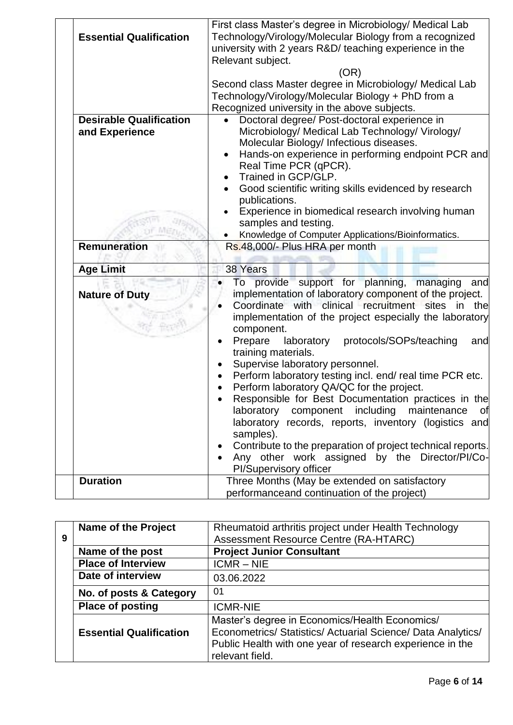| <b>Essential Qualification</b>                   | First class Master's degree in Microbiology/ Medical Lab<br>Technology/Virology/Molecular Biology from a recognized<br>university with 2 years R&D/ teaching experience in the<br>Relevant subject.<br>(OR)<br>Second class Master degree in Microbiology/ Medical Lab<br>Technology/Virology/Molecular Biology + PhD from a<br>Recognized university in the above subjects.                                                                                                                                                                                                                                                                                    |
|--------------------------------------------------|-----------------------------------------------------------------------------------------------------------------------------------------------------------------------------------------------------------------------------------------------------------------------------------------------------------------------------------------------------------------------------------------------------------------------------------------------------------------------------------------------------------------------------------------------------------------------------------------------------------------------------------------------------------------|
| <b>Desirable Qualification</b><br>and Experience | Doctoral degree/ Post-doctoral experience in<br>Microbiology/ Medical Lab Technology/ Virology/<br>Molecular Biology/ Infectious diseases.<br>Hands-on experience in performing endpoint PCR and<br>Real Time PCR (qPCR).<br>Trained in GCP/GLP.<br>Good scientific writing skills evidenced by research<br>publications.<br>Experience in biomedical research involving human<br>samples and testing.<br>Knowledge of Computer Applications/Bioinformatics.                                                                                                                                                                                                    |
| <b>Remuneration</b>                              | Rs.48,000/- Plus HRA per month                                                                                                                                                                                                                                                                                                                                                                                                                                                                                                                                                                                                                                  |
| <b>Age Limit</b>                                 | 38 Years                                                                                                                                                                                                                                                                                                                                                                                                                                                                                                                                                                                                                                                        |
| <b>Nature of Duty</b>                            | To provide support for planning,<br>managing<br>and<br>implementation of laboratory component of the project.<br>Coordinate with clinical recruitment sites in the<br>implementation of the project especially the laboratory<br>component.<br>protocols/SOPs/teaching<br>Prepare<br>laboratory<br>and<br>training materials.<br>Supervise laboratory personnel.<br>Perform laboratory testing incl. end/real time PCR etc.<br>Perform laboratory QA/QC for the project.<br>Responsible for Best Documentation practices in the<br>component including<br>of<br>laboratory<br>maintenance<br>laboratory records, reports, inventory (logistics and<br>samples). |
|                                                  | Contribute to the preparation of project technical reports.<br>Any other work assigned by the Director/PI/Co-<br>PI/Supervisory officer                                                                                                                                                                                                                                                                                                                                                                                                                                                                                                                         |

|   | <b>Name of the Project</b>     | Rheumatoid arthritis project under Health Technology                                                                                                                                           |
|---|--------------------------------|------------------------------------------------------------------------------------------------------------------------------------------------------------------------------------------------|
| 9 |                                | <b>Assessment Resource Centre (RA-HTARC)</b>                                                                                                                                                   |
|   | Name of the post               | <b>Project Junior Consultant</b>                                                                                                                                                               |
|   | <b>Place of Interview</b>      | $ICMR - NIE$                                                                                                                                                                                   |
|   | Date of interview              | 03.06.2022                                                                                                                                                                                     |
|   | No. of posts & Category        | 01                                                                                                                                                                                             |
|   | <b>Place of posting</b>        | <b>ICMR-NIE</b>                                                                                                                                                                                |
|   | <b>Essential Qualification</b> | Master's degree in Economics/Health Economics/<br>Econometrics/ Statistics/ Actuarial Science/ Data Analytics/<br>Public Health with one year of research experience in the<br>relevant field. |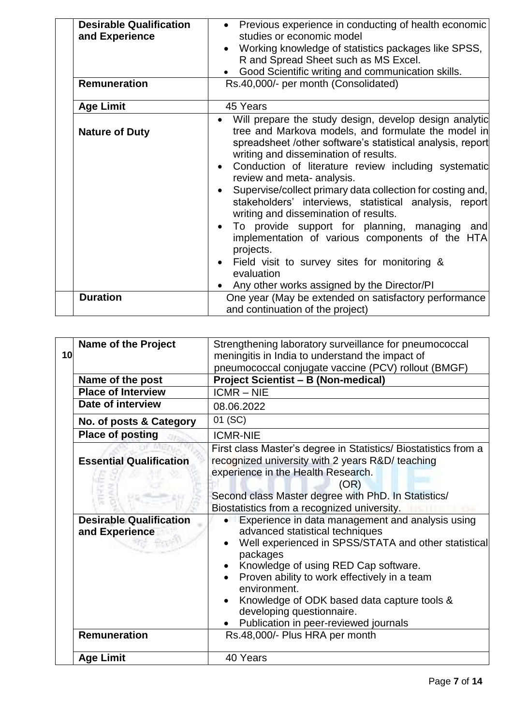| <b>Desirable Qualification</b><br>and Experience<br><b>Remuneration</b> | • Previous experience in conducting of health economic<br>studies or economic model<br>Working knowledge of statistics packages like SPSS,<br>R and Spread Sheet such as MS Excel.<br>Good Scientific writing and communication skills.<br>Rs.40,000/- per month (Consolidated)                                                                                                                                                                                                                                                                                                                                                                                                      |  |  |
|-------------------------------------------------------------------------|--------------------------------------------------------------------------------------------------------------------------------------------------------------------------------------------------------------------------------------------------------------------------------------------------------------------------------------------------------------------------------------------------------------------------------------------------------------------------------------------------------------------------------------------------------------------------------------------------------------------------------------------------------------------------------------|--|--|
|                                                                         |                                                                                                                                                                                                                                                                                                                                                                                                                                                                                                                                                                                                                                                                                      |  |  |
| <b>Age Limit</b>                                                        | 45 Years                                                                                                                                                                                                                                                                                                                                                                                                                                                                                                                                                                                                                                                                             |  |  |
| <b>Nature of Duty</b>                                                   | Will prepare the study design, develop design analytic<br>tree and Markova models, and formulate the model in<br>spreadsheet /other software's statistical analysis, report<br>writing and dissemination of results.<br>Conduction of literature review including systematic<br>$\bullet$<br>review and meta- analysis.<br>Supervise/collect primary data collection for costing and,<br>$\bullet$<br>stakeholders' interviews, statistical analysis, report<br>writing and dissemination of results.<br>To provide support for planning, managing and<br>implementation of various components of the HTA<br>projects.<br>Field visit to survey sites for monitoring &<br>evaluation |  |  |
| <b>Duration</b>                                                         | Any other works assigned by the Director/PI<br>One year (May be extended on satisfactory performance                                                                                                                                                                                                                                                                                                                                                                                                                                                                                                                                                                                 |  |  |
|                                                                         | and continuation of the project)                                                                                                                                                                                                                                                                                                                                                                                                                                                                                                                                                                                                                                                     |  |  |

|    | <b>Name of the Project</b>                       | Strengthening laboratory surveillance for pneumococcal                                                                                                                                                                                                                                                                                                                                                         |  |  |
|----|--------------------------------------------------|----------------------------------------------------------------------------------------------------------------------------------------------------------------------------------------------------------------------------------------------------------------------------------------------------------------------------------------------------------------------------------------------------------------|--|--|
| 10 |                                                  | meningitis in India to understand the impact of                                                                                                                                                                                                                                                                                                                                                                |  |  |
|    |                                                  | pneumococcal conjugate vaccine (PCV) rollout (BMGF)                                                                                                                                                                                                                                                                                                                                                            |  |  |
|    | Name of the post                                 | <b>Project Scientist - B (Non-medical)</b>                                                                                                                                                                                                                                                                                                                                                                     |  |  |
|    | <b>Place of Interview</b>                        | $ICMR - NIE$                                                                                                                                                                                                                                                                                                                                                                                                   |  |  |
|    | Date of interview                                | 08.06.2022                                                                                                                                                                                                                                                                                                                                                                                                     |  |  |
|    | No. of posts & Category                          | 01 (SC)                                                                                                                                                                                                                                                                                                                                                                                                        |  |  |
|    | <b>Place of posting</b>                          | <b>ICMR-NIE</b>                                                                                                                                                                                                                                                                                                                                                                                                |  |  |
|    | <b>Essential Qualification</b>                   | First class Master's degree in Statistics/ Biostatistics from a<br>recognized university with 2 years R&D/ teaching<br>experience in the Health Research.<br>(OR)<br>Second class Master degree with PhD. In Statistics/<br>Biostatistics from a recognized university.                                                                                                                                        |  |  |
|    | <b>Desirable Qualification</b><br>and Experience | Experience in data management and analysis using<br>advanced statistical techniques<br>Well experienced in SPSS/STATA and other statistical<br>packages<br>Knowledge of using RED Cap software.<br>$\bullet$<br>Proven ability to work effectively in a team<br>environment.<br>Knowledge of ODK based data capture tools &<br>$\bullet$<br>developing questionnaire.<br>Publication in peer-reviewed journals |  |  |
|    | <b>Remuneration</b>                              | Rs.48,000/- Plus HRA per month                                                                                                                                                                                                                                                                                                                                                                                 |  |  |
|    | <b>Age Limit</b>                                 | 40 Years                                                                                                                                                                                                                                                                                                                                                                                                       |  |  |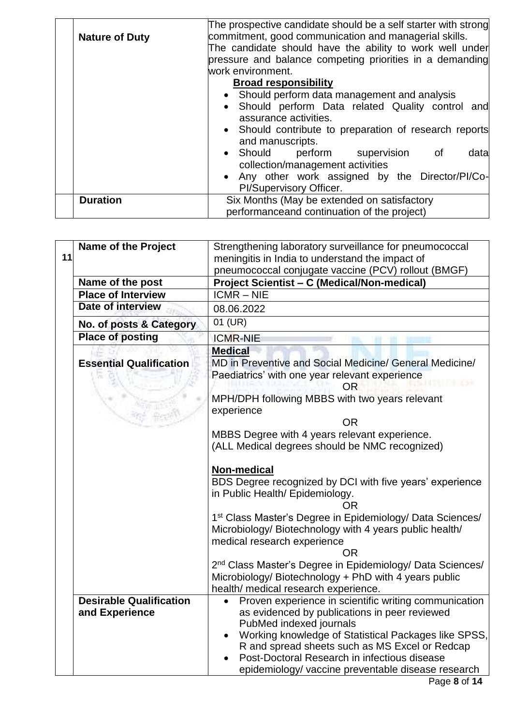|                       | The prospective candidate should be a self starter with strong |  |  |  |
|-----------------------|----------------------------------------------------------------|--|--|--|
| <b>Nature of Duty</b> | commitment, good communication and managerial skills.          |  |  |  |
|                       | The candidate should have the ability to work well under       |  |  |  |
|                       | pressure and balance competing priorities in a demanding       |  |  |  |
|                       | work environment.                                              |  |  |  |
|                       | <b>Broad responsibility</b>                                    |  |  |  |
|                       | • Should perform data management and analysis                  |  |  |  |
|                       | Should perform Data related Quality control and                |  |  |  |
|                       | assurance activities.                                          |  |  |  |
|                       | • Should contribute to preparation of research reports         |  |  |  |
|                       | and manuscripts.                                               |  |  |  |
|                       | • Should perform supervision of<br>data                        |  |  |  |
|                       | collection/management activities                               |  |  |  |
|                       | • Any other work assigned by the Director/PI/Co-               |  |  |  |
|                       | PI/Supervisory Officer.                                        |  |  |  |
| <b>Duration</b>       | Six Months (May be extended on satisfactory                    |  |  |  |
|                       |                                                                |  |  |  |
|                       | performanceand continuation of the project)                    |  |  |  |

| 11 | <b>Name of the Project</b>                       | Strengthening laboratory surveillance for pneumococcal<br>meningitis in India to understand the impact of                                                                                                                                                                                                                                         |  |  |
|----|--------------------------------------------------|---------------------------------------------------------------------------------------------------------------------------------------------------------------------------------------------------------------------------------------------------------------------------------------------------------------------------------------------------|--|--|
|    |                                                  | pneumococcal conjugate vaccine (PCV) rollout (BMGF)                                                                                                                                                                                                                                                                                               |  |  |
|    | Name of the post                                 | Project Scientist - C (Medical/Non-medical)                                                                                                                                                                                                                                                                                                       |  |  |
|    | <b>Place of Interview</b>                        | $ICMR - NIE$                                                                                                                                                                                                                                                                                                                                      |  |  |
|    | Date of interview                                | 08.06.2022                                                                                                                                                                                                                                                                                                                                        |  |  |
|    | No. of posts & Category                          | $01$ (UR)                                                                                                                                                                                                                                                                                                                                         |  |  |
|    | <b>Place of posting</b>                          | <b>ICMR-NIE</b>                                                                                                                                                                                                                                                                                                                                   |  |  |
|    |                                                  | <b>Medical</b>                                                                                                                                                                                                                                                                                                                                    |  |  |
|    | <b>Essential Qualification</b>                   | MD in Preventive and Social Medicine/ General Medicine/<br>Paediatrics' with one year relevant experience<br>OR                                                                                                                                                                                                                                   |  |  |
|    |                                                  | MPH/DPH following MBBS with two years relevant<br>experience                                                                                                                                                                                                                                                                                      |  |  |
|    |                                                  | OR.                                                                                                                                                                                                                                                                                                                                               |  |  |
|    |                                                  | MBBS Degree with 4 years relevant experience.<br>(ALL Medical degrees should be NMC recognized)                                                                                                                                                                                                                                                   |  |  |
|    |                                                  | Non-medical<br>BDS Degree recognized by DCI with five years' experience<br>in Public Health/ Epidemiology.<br>OR.                                                                                                                                                                                                                                 |  |  |
|    |                                                  | 1 <sup>st</sup> Class Master's Degree in Epidemiology/ Data Sciences/<br>Microbiology/ Biotechnology with 4 years public health/<br>medical research experience<br><b>OR</b>                                                                                                                                                                      |  |  |
|    |                                                  | 2 <sup>nd</sup> Class Master's Degree in Epidemiology/ Data Sciences/<br>Microbiology/ Biotechnology + PhD with 4 years public<br>health/ medical research experience.                                                                                                                                                                            |  |  |
|    | <b>Desirable Qualification</b><br>and Experience | Proven experience in scientific writing communication<br>as evidenced by publications in peer reviewed<br>PubMed indexed journals<br>Working knowledge of Statistical Packages like SPSS,<br>R and spread sheets such as MS Excel or Redcap<br>Post-Doctoral Research in infectious disease<br>epidemiology/ vaccine preventable disease research |  |  |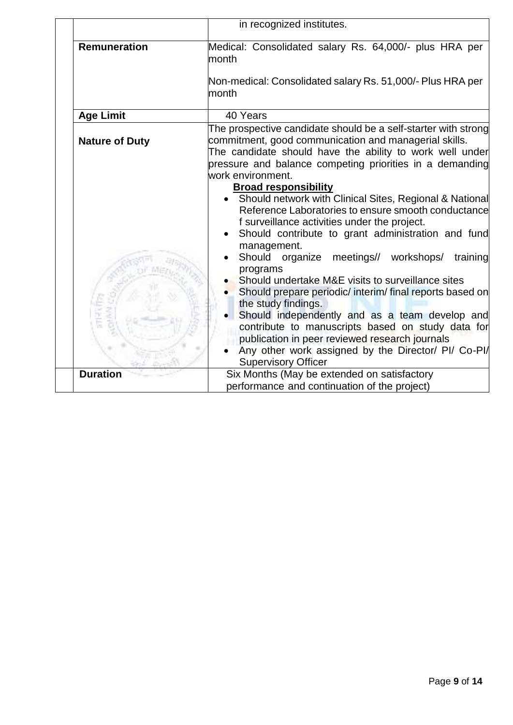|                       | in recognized institutes.                                                                                                                                                                                                                                                                                                                                                                                                                                                                                                                                                                                                                                                                                                                                                                                                                                                                                                                                             |  |  |
|-----------------------|-----------------------------------------------------------------------------------------------------------------------------------------------------------------------------------------------------------------------------------------------------------------------------------------------------------------------------------------------------------------------------------------------------------------------------------------------------------------------------------------------------------------------------------------------------------------------------------------------------------------------------------------------------------------------------------------------------------------------------------------------------------------------------------------------------------------------------------------------------------------------------------------------------------------------------------------------------------------------|--|--|
| <b>Remuneration</b>   | Medical: Consolidated salary Rs. 64,000/- plus HRA per<br>month<br>Non-medical: Consolidated salary Rs. 51,000/- Plus HRA per<br>month                                                                                                                                                                                                                                                                                                                                                                                                                                                                                                                                                                                                                                                                                                                                                                                                                                |  |  |
| <b>Age Limit</b>      | 40 Years                                                                                                                                                                                                                                                                                                                                                                                                                                                                                                                                                                                                                                                                                                                                                                                                                                                                                                                                                              |  |  |
| <b>Nature of Duty</b> | The prospective candidate should be a self-starter with strong<br>commitment, good communication and managerial skills.<br>The candidate should have the ability to work well under<br>pressure and balance competing priorities in a demanding<br>work environment.<br><b>Broad responsibility</b><br>• Should network with Clinical Sites, Regional & National<br>Reference Laboratories to ensure smooth conductance<br>f surveillance activities under the project.<br>Should contribute to grant administration and fund<br>management.<br>Should organize meetings// workshops/<br>training<br>programs<br>Should undertake M&E visits to surveillance sites<br>Should prepare periodic/ interim/ final reports based on<br>the study findings.<br>Should independently and as a team develop and<br>contribute to manuscripts based on study data for<br>publication in peer reviewed research journals<br>Any other work assigned by the Director/ PI/ Co-PI/ |  |  |
| <b>Duration</b>       | <b>Supervisory Officer</b><br>Six Months (May be extended on satisfactory<br>performance and continuation of the project)                                                                                                                                                                                                                                                                                                                                                                                                                                                                                                                                                                                                                                                                                                                                                                                                                                             |  |  |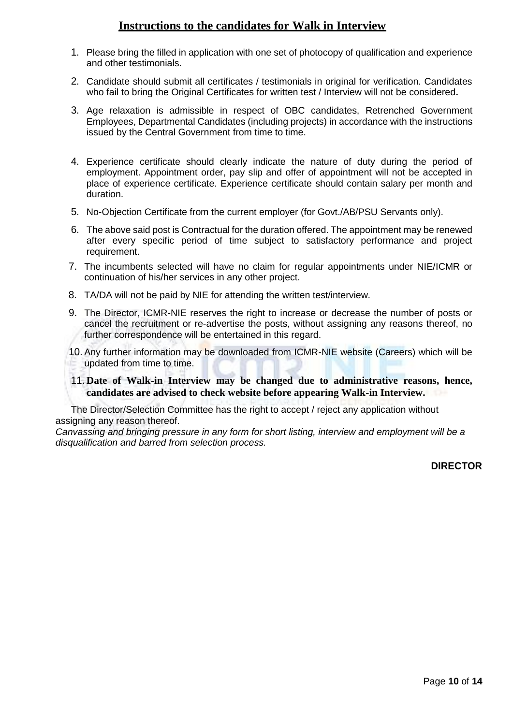# **Instructions to the candidates for Walk in Interview**

- 1. Please bring the filled in application with one set of photocopy of qualification and experience and other testimonials.
- 2. Candidate should submit all certificates / testimonials in original for verification. Candidates who fail to bring the Original Certificates for written test / Interview will not be considered**.**
- 3. Age relaxation is admissible in respect of OBC candidates, Retrenched Government Employees, Departmental Candidates (including projects) in accordance with the instructions issued by the Central Government from time to time.
- 4. Experience certificate should clearly indicate the nature of duty during the period of employment. Appointment order, pay slip and offer of appointment will not be accepted in place of experience certificate. Experience certificate should contain salary per month and duration.
- 5. No-Objection Certificate from the current employer (for Govt./AB/PSU Servants only).
- 6. The above said post is Contractual for the duration offered. The appointment may be renewed after every specific period of time subject to satisfactory performance and project requirement.
- 7. The incumbents selected will have no claim for regular appointments under NIE/ICMR or continuation of his/her services in any other project.
- 8. TA/DA will not be paid by NIE for attending the written test/interview.
- 9. The Director, ICMR-NIE reserves the right to increase or decrease the number of posts or cancel the recruitment or re-advertise the posts, without assigning any reasons thereof, no further correspondence will be entertained in this regard.
- 10. Any further information may be downloaded from ICMR-NIE website (Careers) which will be updated from time to time.
- 11. **Date of Walk-in Interview may be changed due to administrative reasons, hence, candidates are advised to check website before appearing Walk-in Interview.**

The Director/Selection Committee has the right to accept / reject any application without assigning any reason thereof.

*Canvassing and bringing pressure in any form for short listing, interview and employment will be a disqualification and barred from selection process.*

## **DIRECTOR**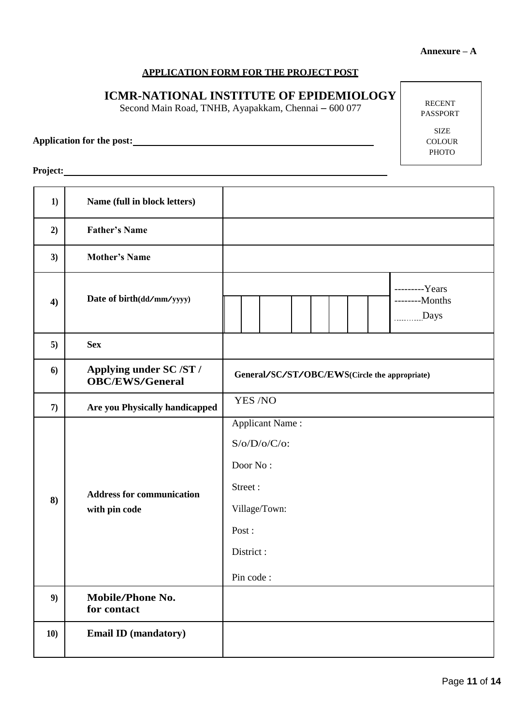### **APPLICATION FORM FOR THE PROJECT POST**

# **ICMR-NATIONAL INSTITUTE OF EPIDEMIOLOGY**

Second Main Road, TNHB, Ayapakkam, Chennai – 600 077

**Application for the post:**

RECENT PASSPORT

> SIZE COLOUR PHOTO

**Project:**

| 1)  | Name (full in block letters)                      |                                                                                                                      |  |  |
|-----|---------------------------------------------------|----------------------------------------------------------------------------------------------------------------------|--|--|
| 2)  | <b>Father's Name</b>                              |                                                                                                                      |  |  |
| 3)  | <b>Mother's Name</b>                              |                                                                                                                      |  |  |
| 4)  | Date of birth(dd/mm/yyyy)                         | ---------Years<br>--------Months<br>Days                                                                             |  |  |
| 5)  | <b>Sex</b>                                        |                                                                                                                      |  |  |
| 6)  | Applying under SC /ST /<br><b>OBC/EWS/General</b> | General/SC/ST/OBC/EWS(Circle the appropriate)                                                                        |  |  |
| 7)  | Are you Physically handicapped                    | YES /NO                                                                                                              |  |  |
| 8)  | <b>Address for communication</b><br>with pin code | <b>Applicant Name:</b><br>$S/O/D/O/C/O$ :<br>Door No:<br>Street:<br>Village/Town:<br>Post:<br>District:<br>Pin code: |  |  |
| 9)  | <b>Mobile/Phone No.</b><br>for contact            |                                                                                                                      |  |  |
| 10) | <b>Email ID (mandatory)</b>                       |                                                                                                                      |  |  |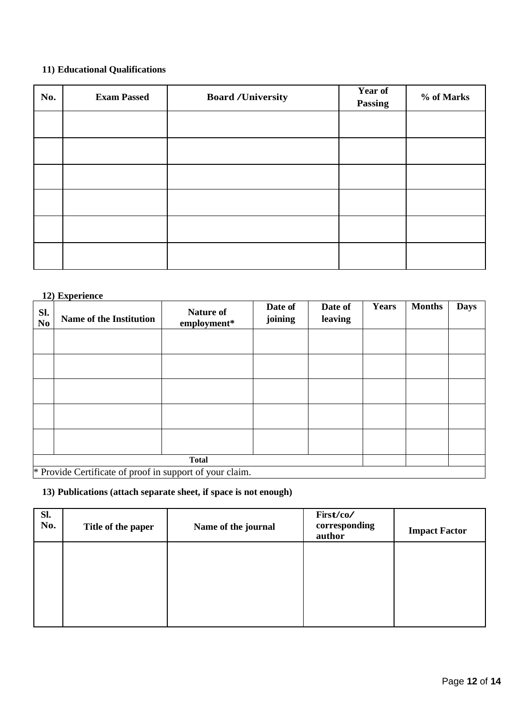## **11) Educational Qualifications**

| No. | <b>Exam Passed</b> | <b>Board /University</b> | Year of<br><b>Passing</b> | % of Marks |
|-----|--------------------|--------------------------|---------------------------|------------|
|     |                    |                          |                           |            |
|     |                    |                          |                           |            |
|     |                    |                          |                           |            |
|     |                    |                          |                           |            |
|     |                    |                          |                           |            |
|     |                    |                          |                           |            |

#### **12) Experience**

| Sl.<br>N <sub>0</sub> | Name of the Institution                                  | <b>Nature of</b><br>employment* | Date of<br>joining | Date of<br>leaving | <b>Years</b> | <b>Months</b> | <b>Days</b> |
|-----------------------|----------------------------------------------------------|---------------------------------|--------------------|--------------------|--------------|---------------|-------------|
|                       |                                                          |                                 |                    |                    |              |               |             |
|                       |                                                          |                                 |                    |                    |              |               |             |
|                       |                                                          |                                 |                    |                    |              |               |             |
|                       |                                                          |                                 |                    |                    |              |               |             |
|                       |                                                          |                                 |                    |                    |              |               |             |
|                       | <b>Total</b>                                             |                                 |                    |                    |              |               |             |
|                       | * Provide Certificate of proof in support of your claim. |                                 |                    |                    |              |               |             |

**13) Publications (attach separate sheet, if space is not enough)** 

| Sl.<br>No. | Title of the paper | Name of the journal | First/co/<br>corresponding<br>author | <b>Impact Factor</b> |
|------------|--------------------|---------------------|--------------------------------------|----------------------|
|            |                    |                     |                                      |                      |
|            |                    |                     |                                      |                      |
|            |                    |                     |                                      |                      |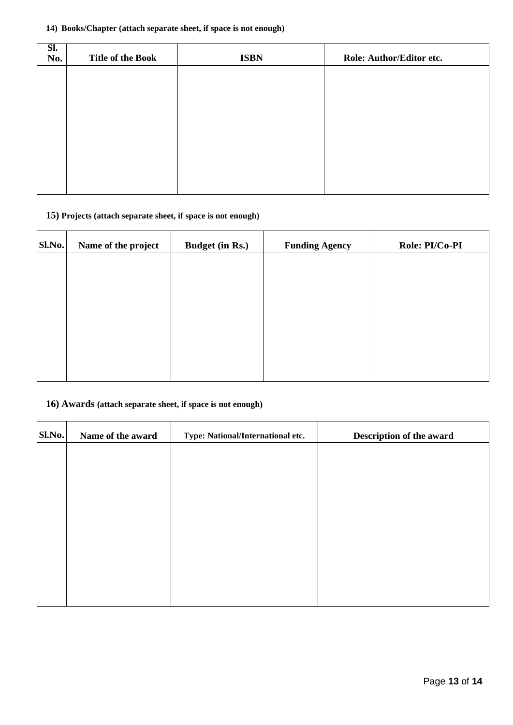#### **14) Books/Chapter (attach separate sheet, if space is not enough)**

| SI.<br>No. | <b>Title of the Book</b> | <b>ISBN</b> | Role: Author/Editor etc. |
|------------|--------------------------|-------------|--------------------------|
|            |                          |             |                          |
|            |                          |             |                          |
|            |                          |             |                          |
|            |                          |             |                          |
|            |                          |             |                          |
|            |                          |             |                          |

# **15) Projects (attach separate sheet, if space is not enough)**

| Sl.No. | Name of the project | <b>Budget (in Rs.)</b> | <b>Funding Agency</b> | Role: PI/Co-PI |
|--------|---------------------|------------------------|-----------------------|----------------|
|        |                     |                        |                       |                |
|        |                     |                        |                       |                |
|        |                     |                        |                       |                |
|        |                     |                        |                       |                |
|        |                     |                        |                       |                |
|        |                     |                        |                       |                |

## **16) Awards (attach separate sheet, if space is not enough)**

| Sl.No. | Name of the award | Type: National/International etc. | Description of the award |
|--------|-------------------|-----------------------------------|--------------------------|
|        |                   |                                   |                          |
|        |                   |                                   |                          |
|        |                   |                                   |                          |
|        |                   |                                   |                          |
|        |                   |                                   |                          |
|        |                   |                                   |                          |
|        |                   |                                   |                          |
|        |                   |                                   |                          |